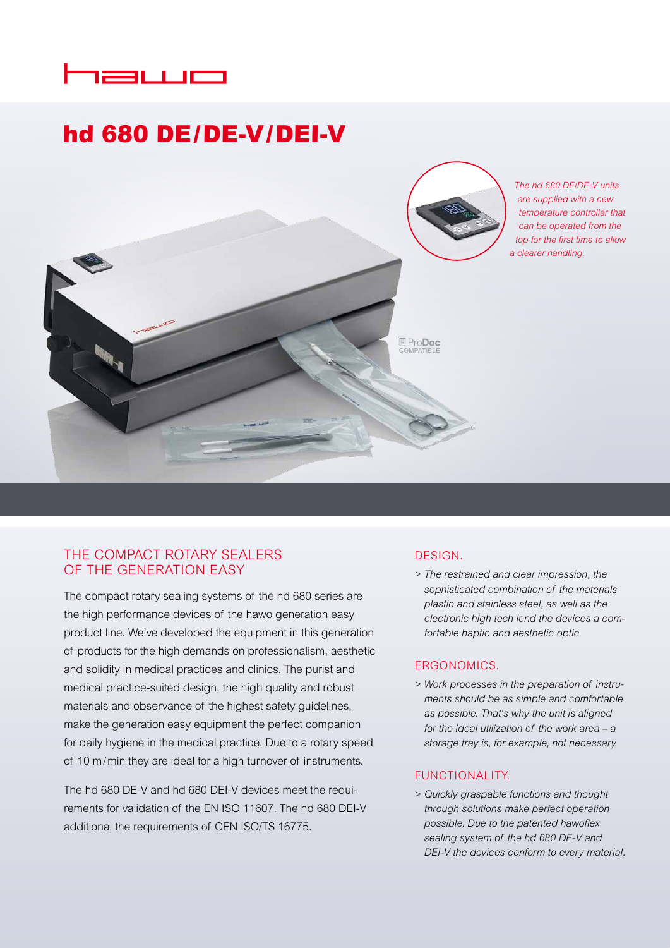# næwo

# hd 680 DE/DE-V/DEI-V



# THE COMPACT ROTARY SEALERS OF THE GENERATION EASY

The compact rotary sealing systems of the hd 680 series are the high performance devices of the hawo generation easy product line. We've developed the equipment in this generation of products for the high demands on professionalism, aesthetic and solidity in medical practices and clinics. The purist and medical practice-suited design, the high quality and robust materials and observance of the highest safety guidelines, make the generation easy equipment the perfect companion for daily hygiene in the medical practice. Due to a rotary speed of 10 m/min they are ideal for a high turnover of instruments.

The hd 680 DE-V and hd 680 DEI-V devices meet the requirements for validation of the EN ISO 11607. The hd 680 DEI-V additional the requirements of CEN ISO/TS 16775.

# DESIGN.

*> The restrained and clear impression, the sophisticated combination of the materials plastic and stainless steel, as well as the electronic high tech lend the devices a comfortable haptic and aesthetic optic*

## ERGONOMICS.

*> Work processes in the preparation of instruments should be as simple and comfortable as possible. That's why the unit is aligned for the ideal utilization of the work area – a storage tray is, for example, not necessary.*

## FUNCTIONALITY.

*> Quickly graspable functions and thought through solutions make perfect operation possible. Due to the patented hawoflex sealing system of the hd 680 DE-V and DEI-V the devices conform to every material.*